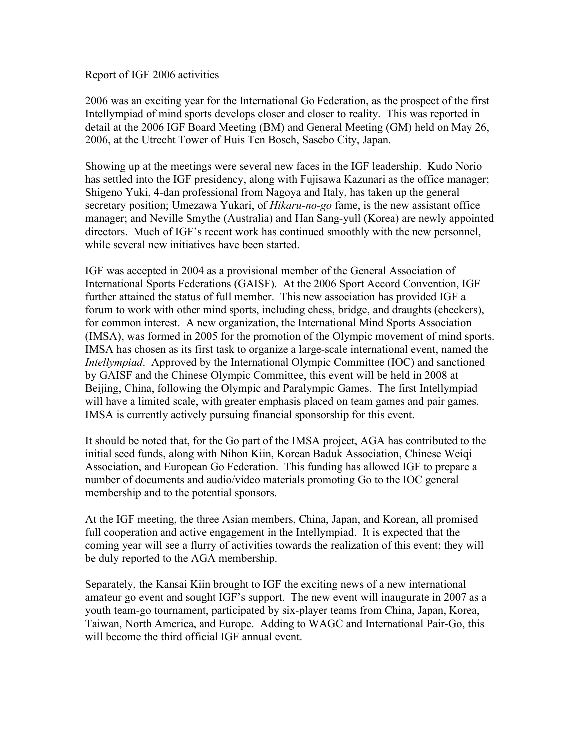## Report of IGF 2006 activities

2006 was an exciting year for the International Go Federation, as the prospect of the first Intellympiad of mind sports develops closer and closer to reality. This was reported in detail at the 2006 IGF Board Meeting (BM) and General Meeting (GM) held on May 26, 2006, at the Utrecht Tower of Huis Ten Bosch, Sasebo City, Japan.

Showing up at the meetings were several new faces in the IGF leadership. Kudo Norio has settled into the IGF presidency, along with Fujisawa Kazunari as the office manager; Shigeno Yuki, 4-dan professional from Nagoya and Italy, has taken up the general secretary position; Umezawa Yukari, of *Hikaru-no-go* fame, is the new assistant office manager; and Neville Smythe (Australia) and Han Sang-yull (Korea) are newly appointed directors. Much of IGF's recent work has continued smoothly with the new personnel, while several new initiatives have been started.

IGF was accepted in 2004 as a provisional member of the General Association of International Sports Federations (GAISF). At the 2006 Sport Accord Convention, IGF further attained the status of full member. This new association has provided IGF a forum to work with other mind sports, including chess, bridge, and draughts (checkers), for common interest. A new organization, the International Mind Sports Association (IMSA), was formed in 2005 for the promotion of the Olympic movement of mind sports. IMSA has chosen as its first task to organize a large-scale international event, named the *Intellympiad*. Approved by the International Olympic Committee (IOC) and sanctioned by GAISF and the Chinese Olympic Committee, this event will be held in 2008 at Beijing, China, following the Olympic and Paralympic Games. The first Intellympiad will have a limited scale, with greater emphasis placed on team games and pair games. IMSA is currently actively pursuing financial sponsorship for this event.

It should be noted that, for the Go part of the IMSA project, AGA has contributed to the initial seed funds, along with Nihon Kiin, Korean Baduk Association, Chinese Weiqi Association, and European Go Federation. This funding has allowed IGF to prepare a number of documents and audio/video materials promoting Go to the IOC general membership and to the potential sponsors.

At the IGF meeting, the three Asian members, China, Japan, and Korean, all promised full cooperation and active engagement in the Intellympiad. It is expected that the coming year will see a flurry of activities towards the realization of this event; they will be duly reported to the AGA membership.

Separately, the Kansai Kiin brought to IGF the exciting news of a new international amateur go event and sought IGF's support. The new event will inaugurate in 2007 as a youth team-go tournament, participated by six-player teams from China, Japan, Korea, Taiwan, North America, and Europe. Adding to WAGC and International Pair-Go, this will become the third official IGF annual event.